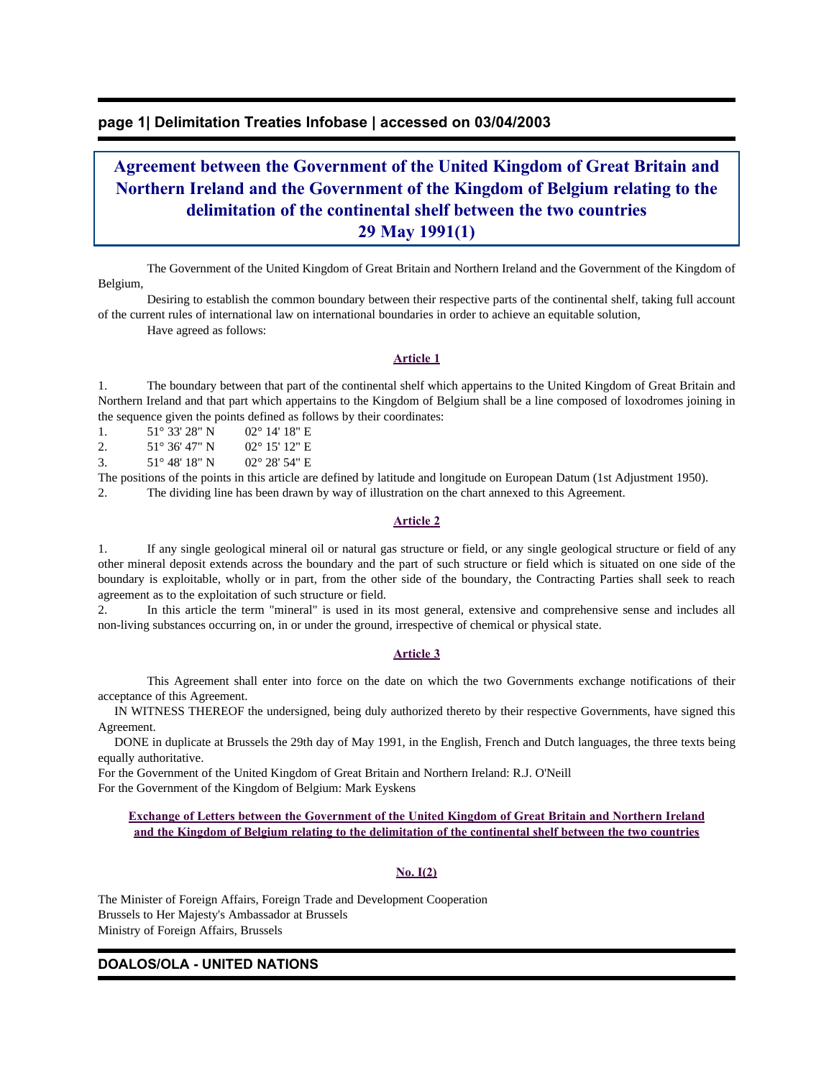### **page 1| Delimitation Treaties Infobase | accessed on 03/04/2003**

# **Agreement between the Government of the United Kingdom of Great Britain and Northern Ireland and the Government of the Kingdom of Belgium relating to the delimitation of the continental shelf between the two countries 29 May 1991(1)**

 The Government of the United Kingdom of Great Britain and Northern Ireland and the Government of the Kingdom of Belgium,

 Desiring to establish the common boundary between their respective parts of the continental shelf, taking full account of the current rules of international law on international boundaries in order to achieve an equitable solution,

Have agreed as follows:

### **Article 1**

1. The boundary between that part of the continental shelf which appertains to the United Kingdom of Great Britain and Northern Ireland and that part which appertains to the Kingdom of Belgium shall be a line composed of loxodromes joining in the sequence given the points defined as follows by their coordinates:

1. 51° 33′ 28″ N 02° 14′ 18″ E

2. 51° 36' 47" N 02° 15' 12" E

3. 51° 48' 18" N 02° 28' 54" E

The positions of the points in this article are defined by latitude and longitude on European Datum (1st Adjustment 1950). 2. The dividing line has been drawn by way of illustration on the chart annexed to this Agreement.

### **Article 2**

1. If any single geological mineral oil or natural gas structure or field, or any single geological structure or field of any other mineral deposit extends across the boundary and the part of such structure or field which is situated on one side of the boundary is exploitable, wholly or in part, from the other side of the boundary, the Contracting Parties shall seek to reach agreement as to the exploitation of such structure or field.

2. In this article the term "mineral" is used in its most general, extensive and comprehensive sense and includes all non-living substances occurring on, in or under the ground, irrespective of chemical or physical state.

#### **Article 3**

 This Agreement shall enter into force on the date on which the two Governments exchange notifications of their acceptance of this Agreement.

 IN WITNESS THEREOF the undersigned, being duly authorized thereto by their respective Governments, have signed this Agreement.

 DONE in duplicate at Brussels the 29th day of May 1991, in the English, French and Dutch languages, the three texts being equally authoritative.

For the Government of the United Kingdom of Great Britain and Northern Ireland: R.J. O'Neill For the Government of the Kingdom of Belgium: Mark Eyskens

**Exchange of Letters between the Government of the United Kingdom of Great Britain and Northern Ireland and the Kingdom of Belgium relating to the delimitation of the continental shelf between the two countries**

### **No. I(2)**

The Minister of Foreign Affairs, Foreign Trade and Development Cooperation Brussels to Her Majesty's Ambassador at Brussels Ministry of Foreign Affairs, Brussels

### **DOALOS/OLA - UNITED NATIONS**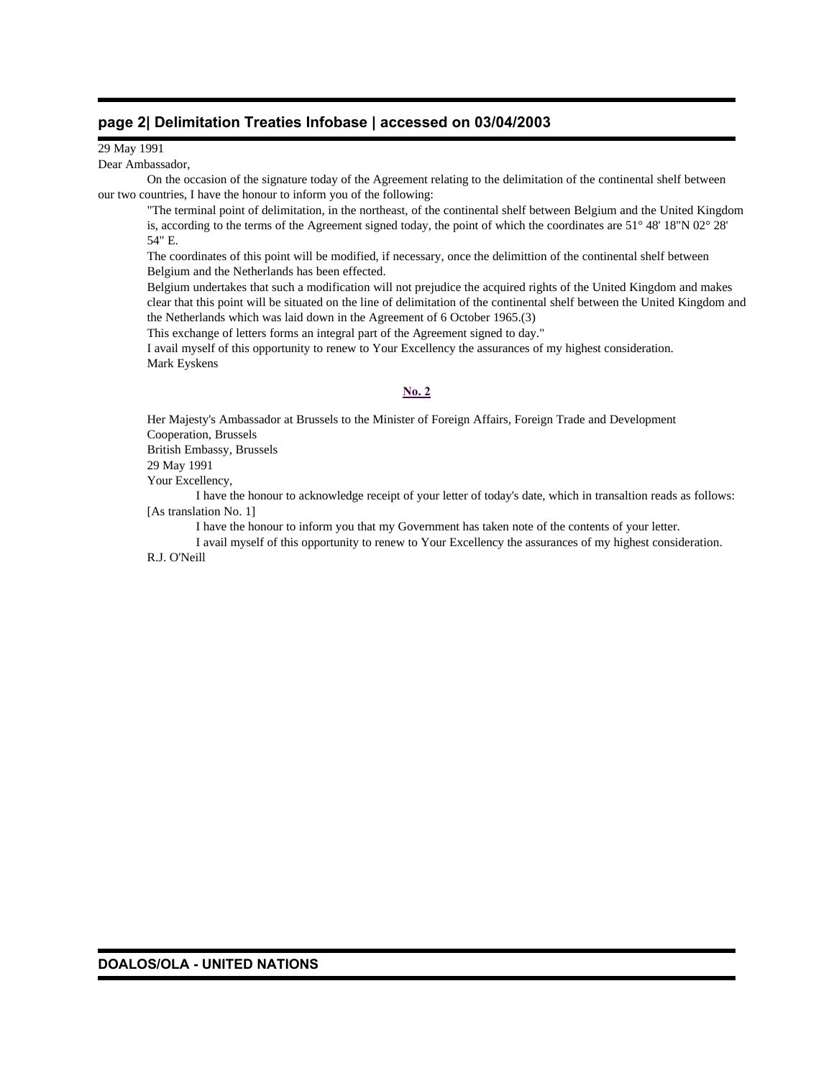### **page 2| Delimitation Treaties Infobase | accessed on 03/04/2003**

29 May 1991

Dear Ambassador,

 On the occasion of the signature today of the Agreement relating to the delimitation of the continental shelf between our two countries, I have the honour to inform you of the following:

"The terminal point of delimitation, in the northeast, of the continental shelf between Belgium and the United Kingdom is, according to the terms of the Agreement signed today, the point of which the coordinates are 51° 48' 18"N 02° 28' 54" E.

The coordinates of this point will be modified, if necessary, once the delimittion of the continental shelf between Belgium and the Netherlands has been effected.

Belgium undertakes that such a modification will not prejudice the acquired rights of the United Kingdom and makes clear that this point will be situated on the line of delimitation of the continental shelf between the United Kingdom and the Netherlands which was laid down in the Agreement of 6 October 1965.(3)

This exchange of letters forms an integral part of the Agreement signed to day."

I avail myself of this opportunity to renew to Your Excellency the assurances of my highest consideration. Mark Eyskens

### **No. 2**

Her Majesty's Ambassador at Brussels to the Minister of Foreign Affairs, Foreign Trade and Development Cooperation, Brussels British Embassy, Brussels 29 May 1991

Your Excellency,

 I have the honour to acknowledge receipt of your letter of today's date, which in transaltion reads as follows: [As translation No. 1]

I have the honour to inform you that my Government has taken note of the contents of your letter.

 I avail myself of this opportunity to renew to Your Excellency the assurances of my highest consideration. R.J. O'Neill